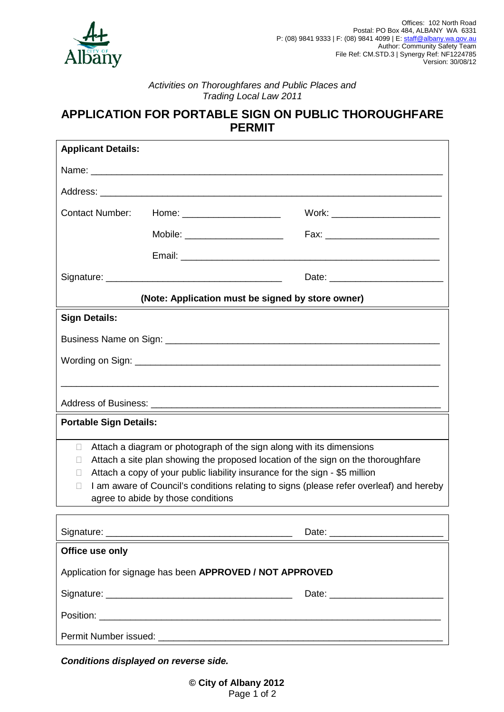

## *Activities on Thoroughfares and Public Places and Trading Local Law 2011*

# **APPLICATION FOR PORTABLE SIGN ON PUBLIC THOROUGHFARE PERMIT**

| <b>Applicant Details:</b>                                                                                                                                                                                                                                                                                                                                                     |                                 |                                   |
|-------------------------------------------------------------------------------------------------------------------------------------------------------------------------------------------------------------------------------------------------------------------------------------------------------------------------------------------------------------------------------|---------------------------------|-----------------------------------|
|                                                                                                                                                                                                                                                                                                                                                                               |                                 |                                   |
|                                                                                                                                                                                                                                                                                                                                                                               |                                 |                                   |
| <b>Contact Number:</b>                                                                                                                                                                                                                                                                                                                                                        | Home: _______________________   | Work: ___________________________ |
|                                                                                                                                                                                                                                                                                                                                                                               | Mobile: _______________________ |                                   |
|                                                                                                                                                                                                                                                                                                                                                                               |                                 |                                   |
|                                                                                                                                                                                                                                                                                                                                                                               |                                 |                                   |
| (Note: Application must be signed by store owner)                                                                                                                                                                                                                                                                                                                             |                                 |                                   |
| <b>Sign Details:</b>                                                                                                                                                                                                                                                                                                                                                          |                                 |                                   |
|                                                                                                                                                                                                                                                                                                                                                                               |                                 |                                   |
|                                                                                                                                                                                                                                                                                                                                                                               |                                 |                                   |
|                                                                                                                                                                                                                                                                                                                                                                               |                                 |                                   |
|                                                                                                                                                                                                                                                                                                                                                                               |                                 |                                   |
| <b>Portable Sign Details:</b>                                                                                                                                                                                                                                                                                                                                                 |                                 |                                   |
| Attach a diagram or photograph of the sign along with its dimensions<br>П<br>Attach a site plan showing the proposed location of the sign on the thoroughfare<br>Attach a copy of your public liability insurance for the sign - \$5 million<br>I am aware of Council's conditions relating to signs (please refer overleaf) and hereby<br>agree to abide by those conditions |                                 |                                   |
|                                                                                                                                                                                                                                                                                                                                                                               |                                 |                                   |
| Office use only                                                                                                                                                                                                                                                                                                                                                               |                                 |                                   |
| Application for signage has been APPROVED / NOT APPROVED                                                                                                                                                                                                                                                                                                                      |                                 |                                   |
|                                                                                                                                                                                                                                                                                                                                                                               |                                 |                                   |
|                                                                                                                                                                                                                                                                                                                                                                               |                                 |                                   |

Permit Number issued:

*Conditions displayed on reverse side.*